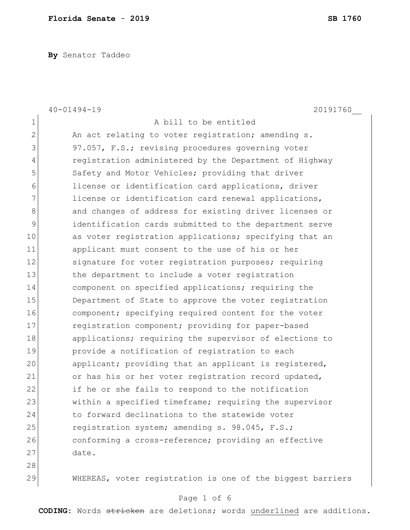**By** Senator Taddeo

|              | $40 - 01494 - 19$<br>20191760                              |
|--------------|------------------------------------------------------------|
| 1            | A bill to be entitled                                      |
| $\mathbf{2}$ | An act relating to voter registration; amending s.         |
| 3            | 97.057, F.S.; revising procedures governing voter          |
| 4            | registration administered by the Department of Highway     |
| 5            | Safety and Motor Vehicles; providing that driver           |
| 6            | license or identification card applications, driver        |
| 7            | license or identification card renewal applications,       |
| 8            | and changes of address for existing driver licenses or     |
| 9            | identification cards submitted to the department serve     |
| 10           | as voter registration applications; specifying that an     |
| 11           | applicant must consent to the use of his or her            |
| 12           | signature for voter registration purposes; requiring       |
| 13           | the department to include a voter registration             |
| 14           | component on specified applications; requiring the         |
| 15           | Department of State to approve the voter registration      |
| 16           | component; specifying required content for the voter       |
| 17           | registration component; providing for paper-based          |
| 18           | applications; requiring the supervisor of elections to     |
| 19           | provide a notification of registration to each             |
| 20           | applicant; providing that an applicant is registered,      |
| 21           | or has his or her voter registration record updated,       |
| 22           | if he or she fails to respond to the notification          |
| 23           | within a specified timeframe; requiring the supervisor     |
| 24           | to forward declinations to the statewide voter             |
| 25           | registration system; amending s. 98.045, F.S.;             |
| 26           | conforming a cross-reference; providing an effective       |
| 27           | date.                                                      |
| 28           |                                                            |
| 29           | WHEREAS, voter registration is one of the biggest barriers |

# Page 1 of 6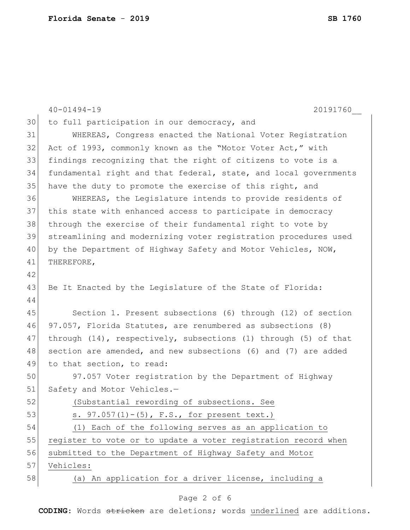|    | 20191760<br>$40 - 01494 - 19$                                    |
|----|------------------------------------------------------------------|
| 30 | to full participation in our democracy, and                      |
| 31 | WHEREAS, Congress enacted the National Voter Registration        |
| 32 | Act of 1993, commonly known as the "Motor Voter Act," with       |
| 33 | findings recognizing that the right of citizens to vote is a     |
| 34 | fundamental right and that federal, state, and local governments |
| 35 | have the duty to promote the exercise of this right, and         |
| 36 | WHEREAS, the Legislature intends to provide residents of         |
| 37 | this state with enhanced access to participate in democracy      |
| 38 | through the exercise of their fundamental right to vote by       |
| 39 | streamlining and modernizing voter registration procedures used  |
| 40 | by the Department of Highway Safety and Motor Vehicles, NOW,     |
| 41 | THEREFORE,                                                       |
| 42 |                                                                  |
| 43 | Be It Enacted by the Legislature of the State of Florida:        |
| 44 |                                                                  |
| 45 | Section 1. Present subsections (6) through (12) of section       |
| 46 | 97.057, Florida Statutes, are renumbered as subsections (8)      |
| 47 | through (14), respectively, subsections (1) through (5) of that  |
| 48 | section are amended, and new subsections (6) and (7) are added   |
| 49 | to that section, to read:                                        |
| 50 | 97.057 Voter registration by the Department of Highway           |
| 51 | Safety and Motor Vehicles.-                                      |
| 52 | (Substantial rewording of subsections. See                       |
| 53 | s. $97.057(1) - (5)$ , F.S., for present text.)                  |
| 54 | (1) Each of the following serves as an application to            |
| 55 | register to vote or to update a voter registration record when   |
| 56 | submitted to the Department of Highway Safety and Motor          |
| 57 | Vehicles:                                                        |
| 58 | (a) An application for a driver license, including a             |
|    |                                                                  |

# Page 2 of 6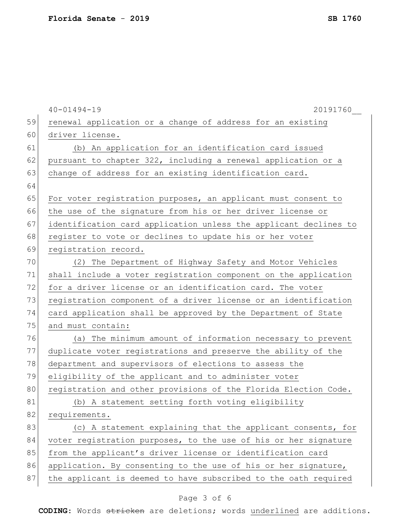|    | $40 - 01494 - 19$<br>20191760                                    |
|----|------------------------------------------------------------------|
| 59 | renewal application or a change of address for an existing       |
| 60 | driver license.                                                  |
| 61 | (b) An application for an identification card issued             |
| 62 | pursuant to chapter 322, including a renewal application or a    |
| 63 | change of address for an existing identification card.           |
| 64 |                                                                  |
| 65 | For voter registration purposes, an applicant must consent to    |
| 66 | the use of the signature from his or her driver license or       |
| 67 | identification card application unless the applicant declines to |
| 68 | register to vote or declines to update his or her voter          |
| 69 | registration record.                                             |
| 70 | (2) The Department of Highway Safety and Motor Vehicles          |
| 71 | shall include a voter registration component on the application  |
| 72 | for a driver license or an identification card. The voter        |
| 73 | registration component of a driver license or an identification  |
| 74 | card application shall be approved by the Department of State    |
| 75 | and must contain:                                                |
| 76 | (a) The minimum amount of information necessary to prevent       |
| 77 | duplicate voter registrations and preserve the ability of the    |
| 78 | department and supervisors of elections to assess the            |
| 79 | eligibility of the applicant and to administer voter             |
| 80 | registration and other provisions of the Florida Election Code.  |
| 81 | (b) A statement setting forth voting eligibility                 |
| 82 | requirements.                                                    |
| 83 | (c) A statement explaining that the applicant consents, for      |
| 84 | voter registration purposes, to the use of his or her signature  |
| 85 | from the applicant's driver license or identification card       |
| 86 | application. By consenting to the use of his or her signature,   |
| 87 | the applicant is deemed to have subscribed to the oath required  |

# Page 3 of 6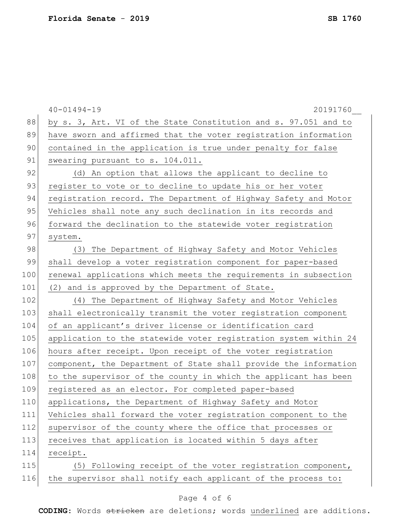|     | $40 - 01494 - 19$<br>20191760                                    |
|-----|------------------------------------------------------------------|
| 88  | by s. 3, Art. VI of the State Constitution and s. 97.051 and to  |
| 89  | have sworn and affirmed that the voter registration information  |
| 90  | contained in the application is true under penalty for false     |
| 91  | swearing pursuant to s. 104.011.                                 |
| 92  | (d) An option that allows the applicant to decline to            |
| 93  | register to vote or to decline to update his or her voter        |
| 94  | registration record. The Department of Highway Safety and Motor  |
| 95  | Vehicles shall note any such declination in its records and      |
| 96  | forward the declination to the statewide voter registration      |
| 97  | system.                                                          |
| 98  | (3) The Department of Highway Safety and Motor Vehicles          |
| 99  | shall develop a voter registration component for paper-based     |
| 100 | renewal applications which meets the requirements in subsection  |
| 101 | (2) and is approved by the Department of State.                  |
| 102 | (4) The Department of Highway Safety and Motor Vehicles          |
| 103 | shall electronically transmit the voter registration component   |
| 104 | of an applicant's driver license or identification card          |
| 105 | application to the statewide voter registration system within 24 |
| 106 | hours after receipt. Upon receipt of the voter registration      |
| 107 | component, the Department of State shall provide the information |
| 108 | to the supervisor of the county in which the applicant has been  |
| 109 | registered as an elector. For completed paper-based              |
| 110 | applications, the Department of Highway Safety and Motor         |
| 111 | Vehicles shall forward the voter registration component to the   |
| 112 | supervisor of the county where the office that processes or      |
| 113 | receives that application is located within 5 days after         |
| 114 | receipt.                                                         |
| 115 | (5) Following receipt of the voter registration component,       |
| 116 | the supervisor shall notify each applicant of the process to:    |

# Page 4 of 6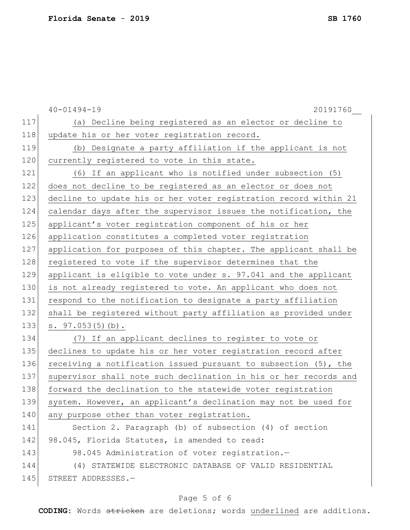|     | $40 - 01494 - 19$<br>20191760                                    |
|-----|------------------------------------------------------------------|
| 117 | (a) Decline being registered as an elector or decline to         |
| 118 | update his or her voter registration record.                     |
| 119 | (b) Designate a party affiliation if the applicant is not        |
| 120 | currently registered to vote in this state.                      |
| 121 | (6) If an applicant who is notified under subsection (5)         |
| 122 | does not decline to be registered as an elector or does not      |
| 123 | decline to update his or her voter registration record within 21 |
| 124 | calendar days after the supervisor issues the notification, the  |
| 125 | applicant's voter registration component of his or her           |
| 126 | application constitutes a completed voter registration           |
| 127 | application for purposes of this chapter. The applicant shall be |
| 128 | registered to vote if the supervisor determines that the         |
| 129 | applicant is eligible to vote under s. 97.041 and the applicant  |
| 130 | is not already registered to vote. An applicant who does not     |
| 131 | respond to the notification to designate a party affiliation     |
| 132 | shall be registered without party affiliation as provided under  |
| 133 | s. 97.053(5)(b).                                                 |
| 134 | (7) If an applicant declines to register to vote or              |
| 135 | declines to update his or her voter registration record after    |
| 136 | receiving a notification issued pursuant to subsection (5), the  |
| 137 | supervisor shall note such declination in his or her records and |
| 138 | forward the declination to the statewide voter registration      |
| 139 | system. However, an applicant's declination may not be used for  |
| 140 | any purpose other than voter registration.                       |
| 141 | Section 2. Paragraph (b) of subsection (4) of section            |
| 142 | 98.045, Florida Statutes, is amended to read:                    |
| 143 | 98.045 Administration of voter registration.-                    |
| 144 | (4) STATEWIDE ELECTRONIC DATABASE OF VALID RESIDENTIAL           |
| 145 | STREET ADDRESSES.-                                               |
|     |                                                                  |

# Page 5 of 6